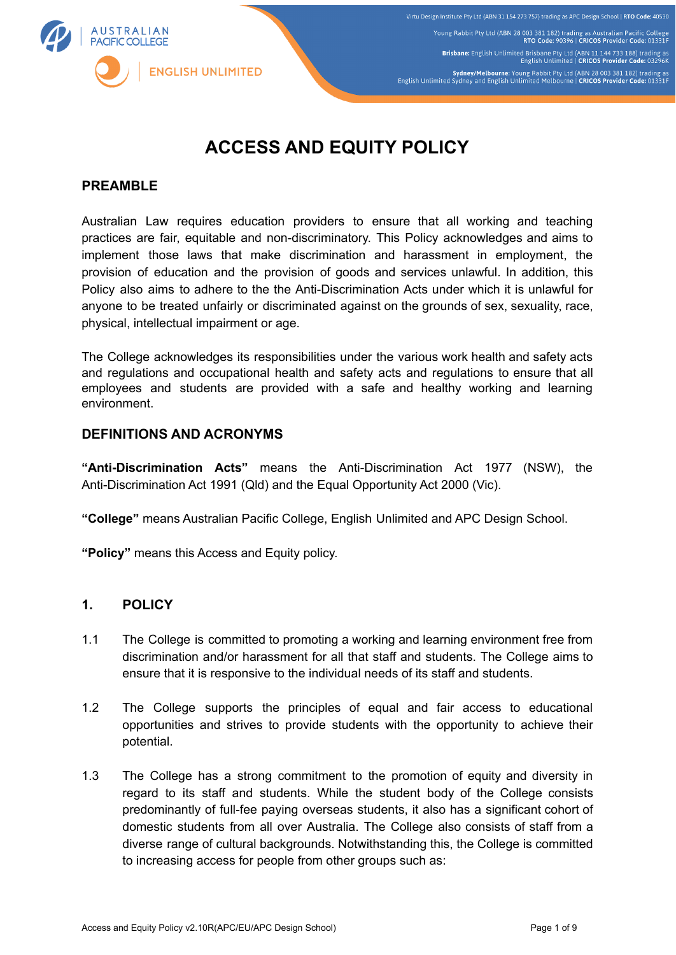

# **ACCESS AND EQUITY POLICY**

#### **PREAMBLE**

Australian Law requires education providers to ensure that all working and teaching practices are fair, equitable and non-discriminatory. This Policy acknowledges and aims to implement those laws that make discrimination and harassment in employment, the provision of education and the provision of goods and services unlawful. In addition, this Policy also aims to adhere to the the Anti-Discrimination Acts under which it is unlawful for anyone to be treated unfairly or discriminated against on the grounds of sex, sexuality, race, physical, intellectual impairment or age.

The College acknowledges its responsibilities under the various work health and safety acts and regulations and occupational health and safety acts and regulations to ensure that all employees and students are provided with a safe and healthy working and learning environment.

#### **DEFINITIONS AND ACRONYMS**

**"Anti-Discrimination Acts"** means the Anti-Discrimination Act 1977 (NSW), the Anti-Discrimination Act 1991 (Qld) and the Equal Opportunity Act 2000 (Vic).

**"College"** means Australian Pacific College, English Unlimited and APC Design School.

**"Policy"** means this Access and Equity policy.

## **1. POLICY**

- 1.1 The College is committed to promoting a working and learning environment free from discrimination and/or harassment for all that staff and students. The College aims to ensure that it is responsive to the individual needs of its staff and students.
- 1.2 The College supports the principles of equal and fair access to educational opportunities and strives to provide students with the opportunity to achieve their potential.
- 1.3 The College has a strong commitment to the promotion of equity and diversity in regard to its staff and students. While the student body of the College consists predominantly of full-fee paying overseas students, it also has a significant cohort of domestic students from all over Australia. The College also consists of staff from a diverse range of cultural backgrounds. Notwithstanding this, the College is committed to increasing access for people from other groups such as: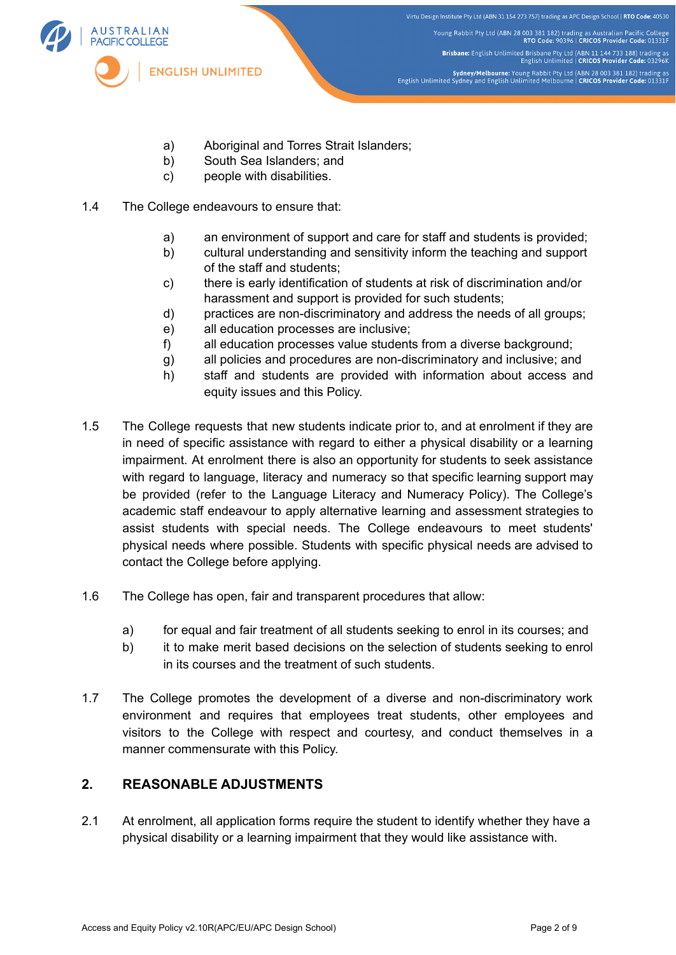

- a) Aboriginal and Torres Strait Islanders;
- b) South Sea Islanders; and
- c) people with disabilities.
- 1.4 The College endeavours to ensure that:
	- a) an environment of support and care for staff and students is provided;
	- b) cultural understanding and sensitivity inform the teaching and support of the staff and students;
	- c) there is early identification of students at risk of discrimination and/or harassment and support is provided for such students;
	- d) practices are non-discriminatory and address the needs of all groups;
	- e) all education processes are inclusive;
	- f) all education processes value students from a diverse background;
	- g) all policies and procedures are non-discriminatory and inclusive; and
	- h) staff and students are provided with information about access and equity issues and this Policy.
- 1.5 The College requests that new students indicate prior to, and at enrolment if they are in need of specific assistance with regard to either a physical disability or a learning impairment. At enrolment there is also an opportunity for students to seek assistance with regard to language, literacy and numeracy so that specific learning support may be provided (refer to the Language Literacy and Numeracy Policy). The College's academic staff endeavour to apply alternative learning and assessment strategies to assist students with special needs. The College endeavours to meet students' physical needs where possible. Students with specific physical needs are advised to contact the College before applying.
- 1.6 The College has open, fair and transparent procedures that allow:
	- a) for equal and fair treatment of all students seeking to enrol in its courses; and
	- b) it to make merit based decisions on the selection of students seeking to enrol in its courses and the treatment of such students.
- 1.7 The College promotes the development of a diverse and non-discriminatory work environment and requires that employees treat students, other employees and visitors to the College with respect and courtesy, and conduct themselves in a manner commensurate with this Policy.

# **2. REASONABLE ADJUSTMENTS**

2.1 At enrolment, all application forms require the student to identify whether they have a physical disability or a learning impairment that they would like assistance with.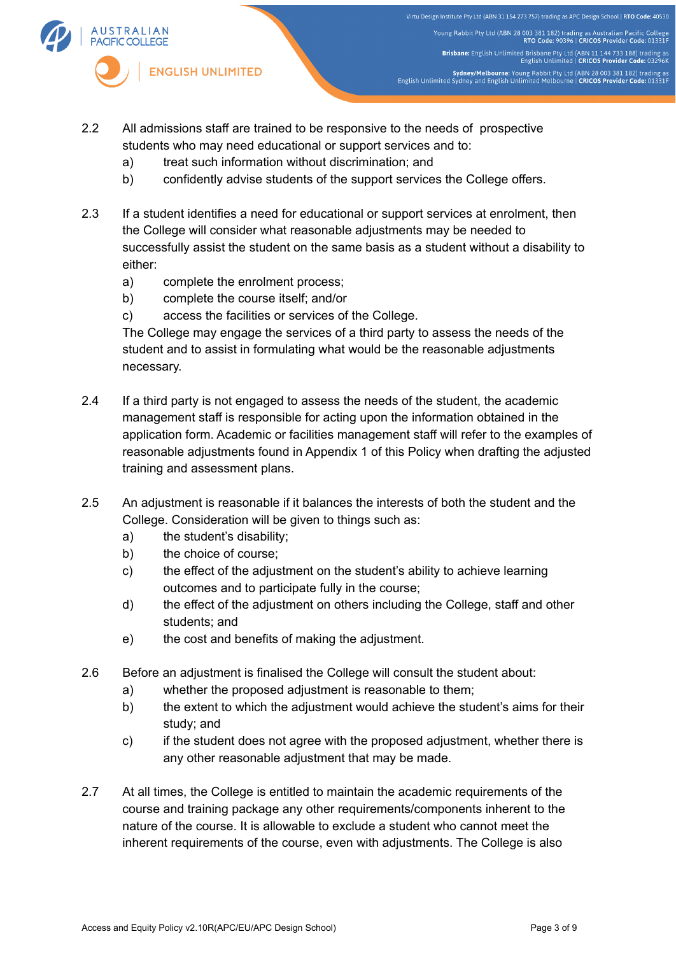

Virtu Design Institute Pty Ltd (ABN 31 154 273 757) trading as APC Design School | RTO Code: 40530 Young Rabbit Pty Ltd (ABN 28 003 381 182) trading as Australian Pacific College<br>RTO Code: 90396 | CRICOS Provider Code: 01331F Brisbane: English Unlimited Brisbane Pty Ltd (ABN 11 144 733 188) trading as<br>English Unlimited | CRICOS Provider Code: 03296K Sydney/Melbourne: Young Rabbit Pty Ltd (ABN 28 003 381 182) trading as<br>English Unlimited Sydney and English Unlimited Melbourne | CRICOS Provider Code: 01331F

- 2.2 All admissions staff are trained to be responsive to the needs of prospective students who may need educational or support services and to:
	- a) treat such information without discrimination; and
	- b) confidently advise students of the support services the College offers.
- 2.3 If a student identifies a need for educational or support services at enrolment, then the College will consider what reasonable adjustments may be needed to successfully assist the student on the same basis as a student without a disability to either:
	- a) complete the enrolment process;
	- b) complete the course itself; and/or
	- c) access the facilities or services of the College.

The College may engage the services of a third party to assess the needs of the student and to assist in formulating what would be the reasonable adjustments necessary.

- 2.4 If a third party is not engaged to assess the needs of the student, the academic management staff is responsible for acting upon the information obtained in the application form. Academic or facilities management staff will refer to the examples of reasonable adjustments found in Appendix 1 of this Policy when drafting the adjusted training and assessment plans.
- 2.5 An adjustment is reasonable if it balances the interests of both the student and the College. Consideration will be given to things such as:
	- a) the student's disability;
	- b) the choice of course;
	- c) the effect of the adjustment on the student's ability to achieve learning outcomes and to participate fully in the course;
	- d) the effect of the adjustment on others including the College, staff and other students; and
	- e) the cost and benefits of making the adjustment.
- 2.6 Before an adjustment is finalised the College will consult the student about:
	- a) whether the proposed adjustment is reasonable to them;
	- b) the extent to which the adjustment would achieve the student's aims for their study; and
	- c) if the student does not agree with the proposed adjustment, whether there is any other reasonable adjustment that may be made.
- 2.7 At all times, the College is entitled to maintain the academic requirements of the course and training package any other requirements/components inherent to the nature of the course. It is allowable to exclude a student who cannot meet the inherent requirements of the course, even with adjustments. The College is also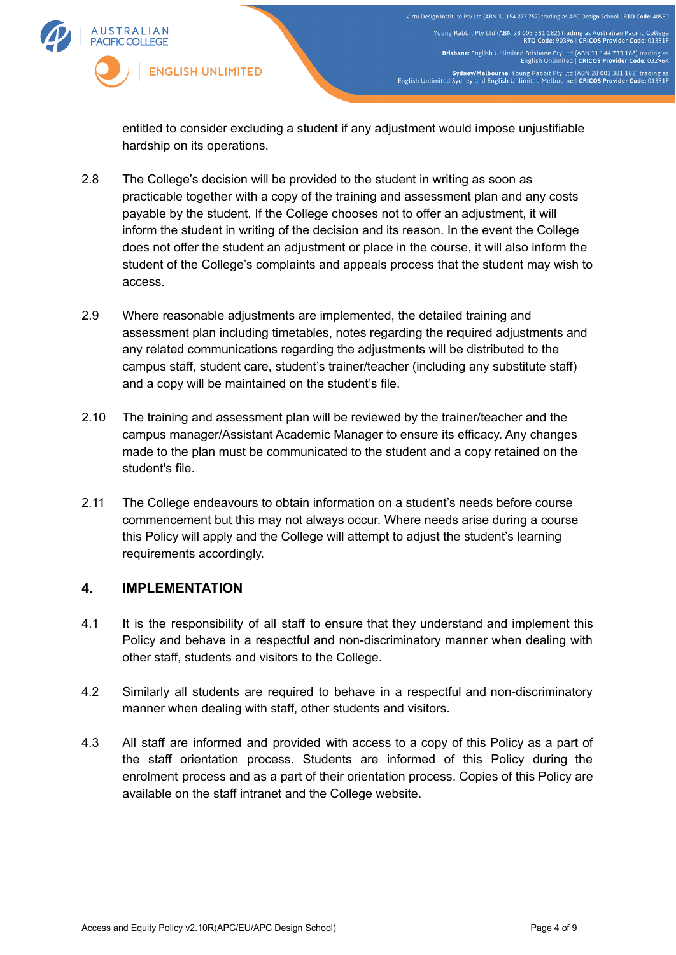

Virtu Design Institute Pty Ltd (ABN 31 154 273 757) trading as APC Design School | RTO Code: 40530 Young Rabbit Pty Ltd (ABN 28 003 381 182) trading as Australian Pacific College<br>RTO Code: 90396 | CRICOS Provider Code: 01331F Brisbane: English Unlimited Brisbane Pty Ltd (ABN 11 144 733 188) trading as<br>English Unlimited | CRICOS Provider Code: 03296K Sydney/Melbourne: Young Rabbit Pty Ltd (ABN 28 003 381 182) trading as<br>English Unlimited Sydney and English Unlimited Melbourne | CRICOS Provider Code: 01331F

entitled to consider excluding a student if any adjustment would impose unjustifiable hardship on its operations.

- 2.8 The College's decision will be provided to the student in writing as soon as practicable together with a copy of the training and assessment plan and any costs payable by the student. If the College chooses not to offer an adjustment, it will inform the student in writing of the decision and its reason. In the event the College does not offer the student an adjustment or place in the course, it will also inform the student of the College's complaints and appeals process that the student may wish to access.
- 2.9 Where reasonable adjustments are implemented, the detailed training and assessment plan including timetables, notes regarding the required adjustments and any related communications regarding the adjustments will be distributed to the campus staff, student care, student's trainer/teacher (including any substitute staff) and a copy will be maintained on the student's file.
- 2.10 The training and assessment plan will be reviewed by the trainer/teacher and the campus manager/Assistant Academic Manager to ensure its efficacy. Any changes made to the plan must be communicated to the student and a copy retained on the student's file.
- 2.11 The College endeavours to obtain information on a student's needs before course commencement but this may not always occur. Where needs arise during a course this Policy will apply and the College will attempt to adjust the student's learning requirements accordingly.

#### **4. IMPLEMENTATION**

- 4.1 It is the responsibility of all staff to ensure that they understand and implement this Policy and behave in a respectful and non-discriminatory manner when dealing with other staff, students and visitors to the College.
- 4.2 Similarly all students are required to behave in a respectful and non-discriminatory manner when dealing with staff, other students and visitors.
- 4.3 All staff are informed and provided with access to a copy of this Policy as a part of the staff orientation process. Students are informed of this Policy during the enrolment process and as a part of their orientation process. Copies of this Policy are available on the staff intranet and the College website.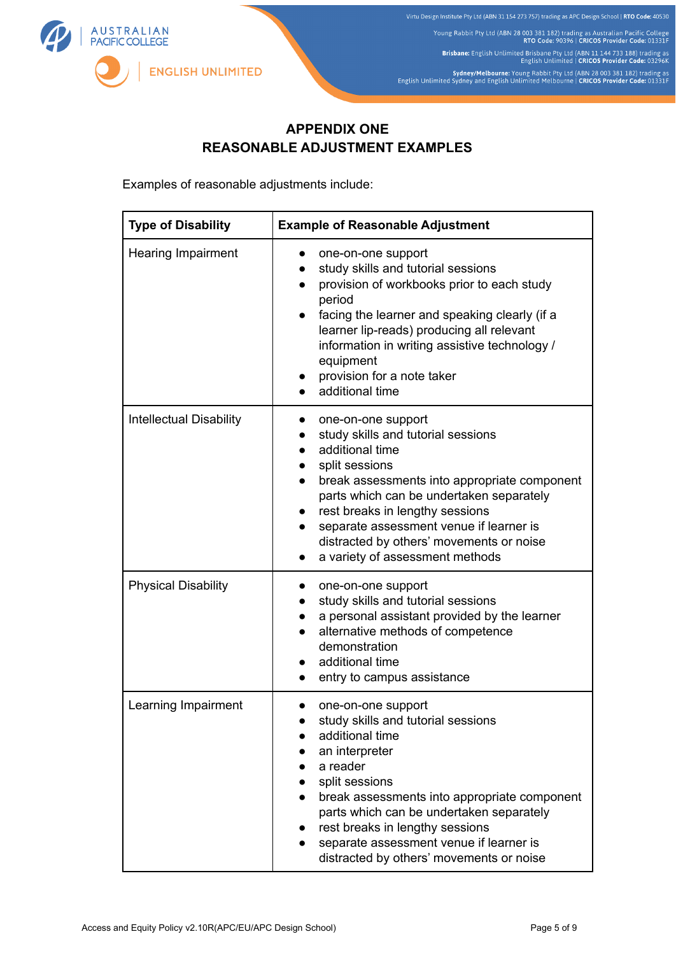

# **APPENDIX ONE REASONABLE ADJUSTMENT EXAMPLES**

Examples of reasonable adjustments include:

| <b>Type of Disability</b>      | <b>Example of Reasonable Adjustment</b>                                                                                                                                                                                                                                                                                                                                          |
|--------------------------------|----------------------------------------------------------------------------------------------------------------------------------------------------------------------------------------------------------------------------------------------------------------------------------------------------------------------------------------------------------------------------------|
| <b>Hearing Impairment</b>      | one-on-one support<br>study skills and tutorial sessions<br>provision of workbooks prior to each study<br>period<br>facing the learner and speaking clearly (if a<br>learner lip-reads) producing all relevant<br>information in writing assistive technology /<br>equipment<br>provision for a note taker<br>additional time                                                    |
| <b>Intellectual Disability</b> | one-on-one support<br>study skills and tutorial sessions<br>$\bullet$<br>additional time<br>split sessions<br>break assessments into appropriate component<br>$\bullet$<br>parts which can be undertaken separately<br>rest breaks in lengthy sessions<br>separate assessment venue if learner is<br>distracted by others' movements or noise<br>a variety of assessment methods |
| <b>Physical Disability</b>     | one-on-one support<br>study skills and tutorial sessions<br>a personal assistant provided by the learner<br>alternative methods of competence<br>demonstration<br>additional time<br>entry to campus assistance                                                                                                                                                                  |
| Learning Impairment            | one-on-one support<br>study skills and tutorial sessions<br>additional time<br>an interpreter<br>a reader<br>split sessions<br>break assessments into appropriate component<br>parts which can be undertaken separately<br>rest breaks in lengthy sessions<br>separate assessment venue if learner is<br>distracted by others' movements or noise                                |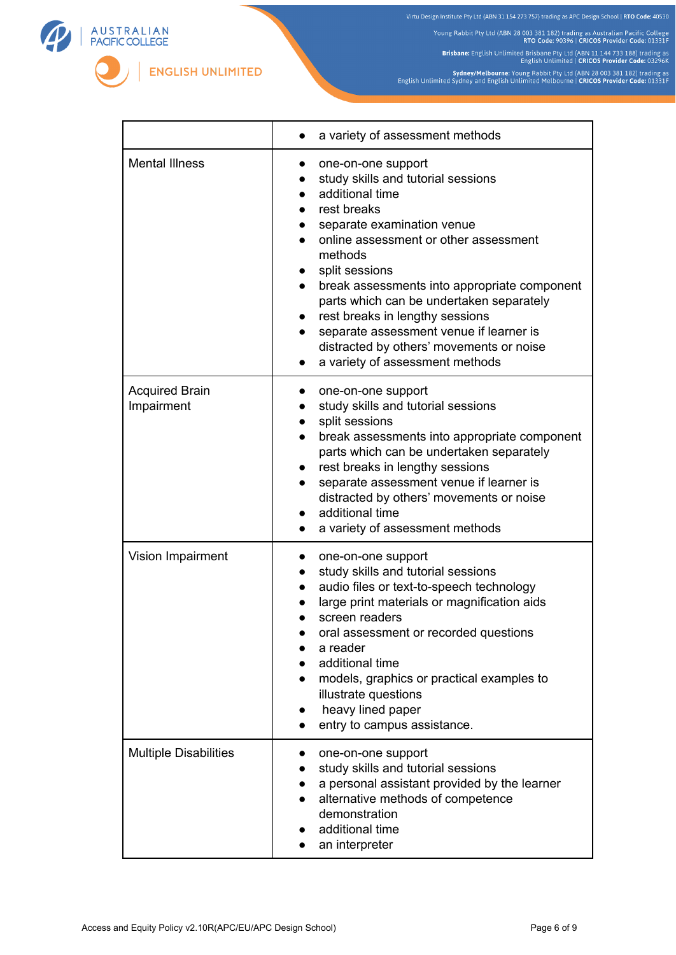



٦Ī,

Brisbane: English Unlimited Brisbane Pty Ltd (ABN 11 144 733 188) trading as<br>English Unlimited | CRICOS Provider Code: 03296K

Sydney/Melbourne: Young Rabbit Pty Ltd (ABN 28 003 381 182) trading as<br>English Unlimited Sydney and English Unlimited Melbourne | CRICOS Provider Code: 01331F



r

**ENGLISH UNLIMITED** 

|                                     | a variety of assessment methods                                                                                                                                                                                                                                                                                                                                                                                                                         |
|-------------------------------------|---------------------------------------------------------------------------------------------------------------------------------------------------------------------------------------------------------------------------------------------------------------------------------------------------------------------------------------------------------------------------------------------------------------------------------------------------------|
| <b>Mental Illness</b>               | one-on-one support<br>study skills and tutorial sessions<br>additional time<br>rest breaks<br>separate examination venue<br>online assessment or other assessment<br>methods<br>split sessions<br>break assessments into appropriate component<br>parts which can be undertaken separately<br>rest breaks in lengthy sessions<br>separate assessment venue if learner is<br>distracted by others' movements or noise<br>a variety of assessment methods |
| <b>Acquired Brain</b><br>Impairment | one-on-one support<br>study skills and tutorial sessions<br>split sessions<br>break assessments into appropriate component<br>$\bullet$<br>parts which can be undertaken separately<br>rest breaks in lengthy sessions<br>$\bullet$<br>separate assessment venue if learner is<br>$\bullet$<br>distracted by others' movements or noise<br>additional time<br>a variety of assessment methods                                                           |
| Vision Impairment                   | one-on-one support<br>study skills and tutorial sessions<br>audio files or text-to-speech technology<br>large print materials or magnification aids<br>screen readers<br>oral assessment or recorded questions<br>a reader<br>additional time<br>models, graphics or practical examples to<br>illustrate questions<br>heavy lined paper<br>entry to campus assistance.                                                                                  |
| <b>Multiple Disabilities</b>        | one-on-one support<br>study skills and tutorial sessions<br>a personal assistant provided by the learner<br>alternative methods of competence<br>demonstration<br>additional time<br>an interpreter                                                                                                                                                                                                                                                     |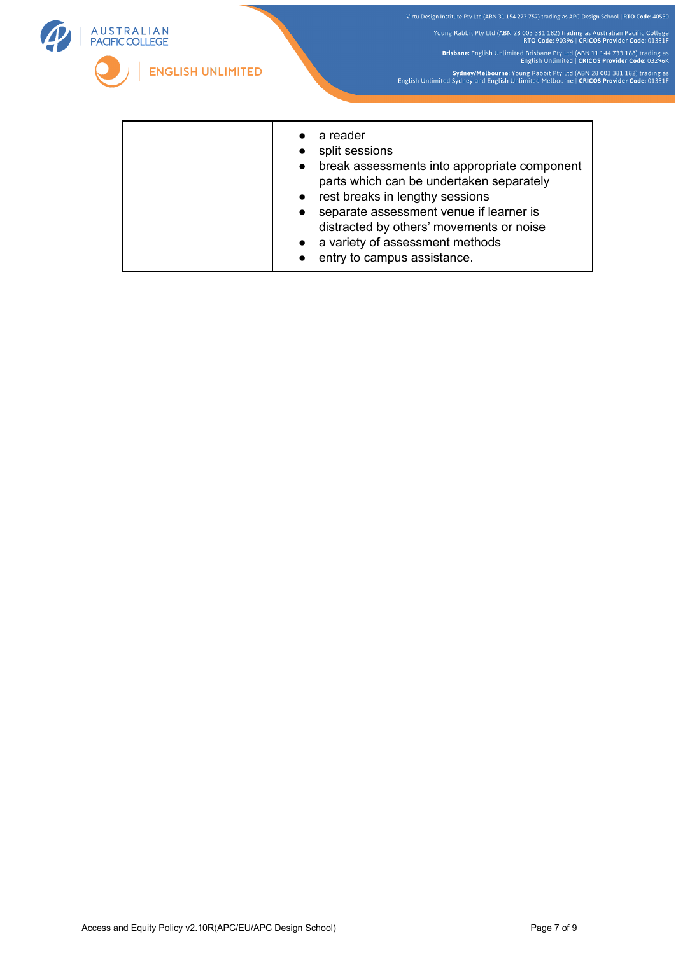

- rest breaks in lengthy sessions ● separate assessment venue if learner is distracted by others' movements or noise • a variety of assessment methods
- entry to campus assistance.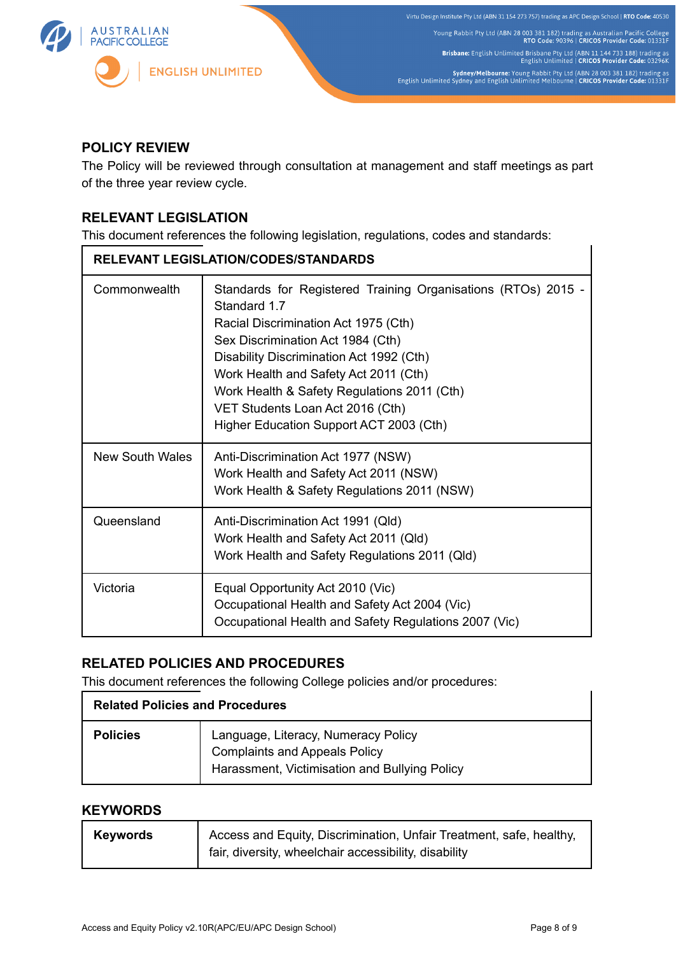

# **POLICY REVIEW**

The Policy will be reviewed through consultation at management and staff meetings as part of the three year review cycle.

# **RELEVANT LEGISLATION**

This document references the following legislation, regulations, codes and standards:

| RELEVANT LEGISLATION/CODES/STANDARDS |                                                                                                                                                                                                                                                                                                                                                                               |  |
|--------------------------------------|-------------------------------------------------------------------------------------------------------------------------------------------------------------------------------------------------------------------------------------------------------------------------------------------------------------------------------------------------------------------------------|--|
| Commonwealth                         | Standards for Registered Training Organisations (RTOs) 2015 -<br>Standard 1.7<br>Racial Discrimination Act 1975 (Cth)<br>Sex Discrimination Act 1984 (Cth)<br>Disability Discrimination Act 1992 (Cth)<br>Work Health and Safety Act 2011 (Cth)<br>Work Health & Safety Regulations 2011 (Cth)<br>VET Students Loan Act 2016 (Cth)<br>Higher Education Support ACT 2003 (Cth) |  |
| New South Wales                      | Anti-Discrimination Act 1977 (NSW)<br>Work Health and Safety Act 2011 (NSW)<br>Work Health & Safety Regulations 2011 (NSW)                                                                                                                                                                                                                                                    |  |
| Queensland                           | Anti-Discrimination Act 1991 (Qld)<br>Work Health and Safety Act 2011 (Qld)<br>Work Health and Safety Regulations 2011 (Qld)                                                                                                                                                                                                                                                  |  |
| Victoria                             | Equal Opportunity Act 2010 (Vic)<br>Occupational Health and Safety Act 2004 (Vic)<br>Occupational Health and Safety Regulations 2007 (Vic)                                                                                                                                                                                                                                    |  |

# **RELATED POLICIES AND PROCEDURES**

This document references the following College policies and/or procedures:

| <b>Related Policies and Procedures</b> |                                                                                                                              |  |
|----------------------------------------|------------------------------------------------------------------------------------------------------------------------------|--|
| <b>Policies</b>                        | Language, Literacy, Numeracy Policy<br><b>Complaints and Appeals Policy</b><br>Harassment, Victimisation and Bullying Policy |  |

## **KEYWORDS**

| <b>Keywords</b> | Access and Equity, Discrimination, Unfair Treatment, safe, healthy, |
|-----------------|---------------------------------------------------------------------|
|                 | fair, diversity, wheelchair accessibility, disability               |